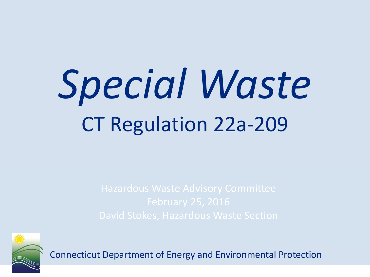# *Special Waste* CT Regulation 22a-209

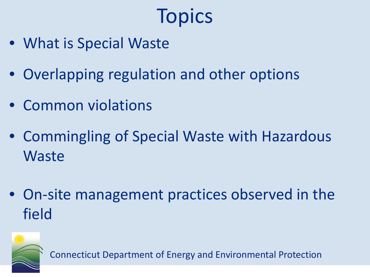## **Topics**

- What is Special Waste
- Overlapping regulation and other options
- Common violations
- Commingling of Special Waste with Hazardous **Waste**
- On-site management practices observed in the field

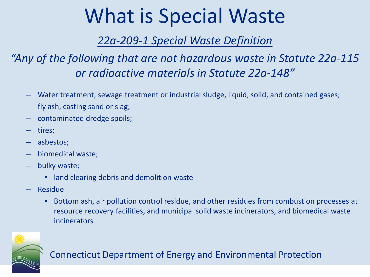### What is Special Waste

#### *22a-209-1 Special Waste Definition*

#### *"Any of the following that are not hazardous waste in Statute 22a-115 or radioactive materials in Statute 22a-148"*

- Water treatment, sewage treatment or industrial sludge, liquid, solid, and contained gases;
- fly ash, casting sand or slag;
- contaminated dredge spoils;
- tires;
- asbestos;
- biomedical waste;
- bulky waste;
	- land clearing debris and demolition waste
- Residue
	- Bottom ash, air pollution control residue, and other residues from combustion processes at resource recovery facilities, and municipal solid waste incinerators, and biomedical waste incinerators

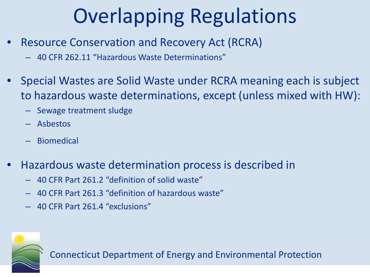## Overlapping Regulations

- Resource Conservation and Recovery Act (RCRA)
	- 40 CFR 262.11 "Hazardous Waste Determinations"
- Special Wastes are Solid Waste under RCRA meaning each is subject to hazardous waste determinations, except (unless mixed with HW):
	- Sewage treatment sludge
	- Asbestos
	- Biomedical
- Hazardous waste determination process is described in
	- 40 CFR Part 261.2 "definition of solid waste"
	- 40 CFR Part 261.3 "definition of hazardous waste"
	- 40 CFR Part 261.4 "exclusions"

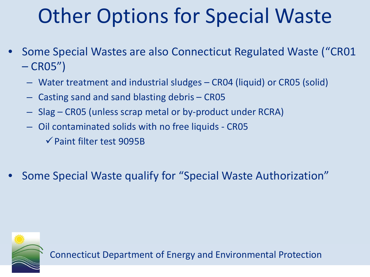### Other Options for Special Waste

- Some Special Wastes are also Connecticut Regulated Waste ("CR01  $-CRO5"$ 
	- Water treatment and industrial sludges CR04 (liquid) or CR05 (solid)
	- Casting sand and sand blasting debris CR05
	- Slag CR05 (unless scrap metal or by-product under RCRA)
	- Oil contaminated solids with no free liquids CR05
		- $\checkmark$  Paint filter test 9095B
- Some Special Waste qualify for "Special Waste Authorization"

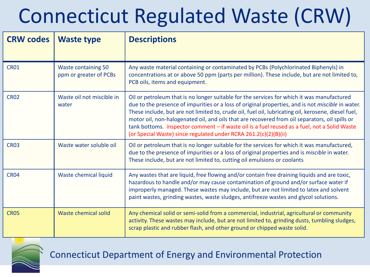# Connecticut Regulated Waste (CRW)

| <b>CRW codes</b> | <b>Waste type</b>                                    | <b>Descriptions</b>                                                                                                                                                                                                                                                                                                                                                                                                                                                                                                                                                                 |
|------------------|------------------------------------------------------|-------------------------------------------------------------------------------------------------------------------------------------------------------------------------------------------------------------------------------------------------------------------------------------------------------------------------------------------------------------------------------------------------------------------------------------------------------------------------------------------------------------------------------------------------------------------------------------|
| <b>CR01</b>      | <b>Waste containing 50</b><br>ppm or greater of PCBs | Any waste material containing or contaminated by PCBs (Polychlorinated Biphenyls) in<br>concentrations at or above 50 ppm (parts per million). These include, but are not limited to,<br>PCB oils, items and equipment.                                                                                                                                                                                                                                                                                                                                                             |
| <b>CR02</b>      | Waste oil not miscible in<br>water                   | Oil or petroleum that is no longer suitable for the services for which it was manufactured<br>due to the presence of impurities or a loss of original properties, and is not <i>miscible</i> in water.<br>These include, but are not limited to, crude oil, fuel oil, lubricating oil, kerosene, diesel fuel,<br>motor oil, non-halogenated oil, and oils that are recovered from oil separators, oil spills or<br>tank bottoms. inspector comment - if waste oil is a fuel reused as a fuel, not a Solid Waste<br>(or Special Waste) since regulated under RCRA 261.2(c)(2)(B)(ii) |
| <b>CR03</b>      | Waste water soluble oil                              | Oil or petroleum that is no longer suitable for the services for which it was manufactured,<br>due to the presence of impurities or a loss of original properties and is <i>miscible</i> in water.<br>These include, but are not limited to, cutting oil emulsions or coolants                                                                                                                                                                                                                                                                                                      |
| <b>CR04</b>      | Waste chemical liquid                                | Any wastes that are liquid, free flowing and/or contain free draining liquids and are toxic,<br>hazardous to handle and/or may cause contamination of ground and/or surface water if<br>improperly managed. These wastes may include, but are not limited to latex and solvent<br>paint wastes, grinding wastes, waste sludges, antifreeze wastes and glycol solutions.                                                                                                                                                                                                             |
| <b>CR05</b>      | Waste chemical solid                                 | Any chemical solid or semi-solid from a commercial, industrial, agricultural or community<br>activity. These wastes may include, but are not limited to, grinding dusts, tumbling sludges,<br>scrap plastic and rubber flash, and other ground or chipped waste solid.                                                                                                                                                                                                                                                                                                              |

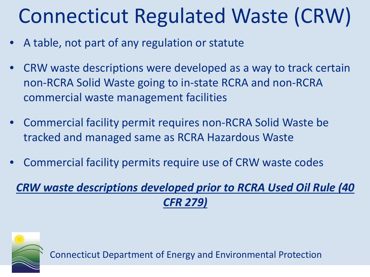# Connecticut Regulated Waste (CRW)

- A table, not part of any regulation or statute
- CRW waste descriptions were developed as a way to track certain non-RCRA Solid Waste going to in-state RCRA and non-RCRA commercial waste management facilities
- Commercial facility permit requires non-RCRA Solid Waste be tracked and managed same as RCRA Hazardous Waste
- Commercial facility permits require use of CRW waste codes

*CRW waste descriptions developed prior to RCRA Used Oil Rule (40 CFR 279)* 

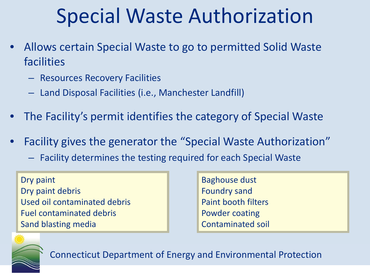### Special Waste Authorization

- Allows certain Special Waste to go to permitted Solid Waste facilities
	- Resources Recovery Facilities
	- Land Disposal Facilities (i.e., Manchester Landfill)
- The Facility's permit identifies the category of Special Waste
- Facility gives the generator the "Special Waste Authorization"
	- Facility determines the testing required for each Special Waste

Dry paint Dry paint debris Used oil contaminated debris Fuel contaminated debris Sand blasting media

Baghouse dust Foundry sand Paint booth filters Powder coating Contaminated soil

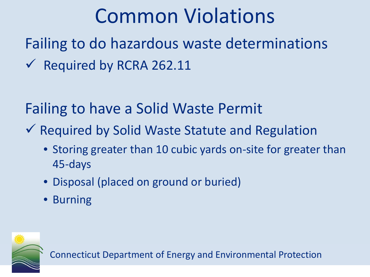### Common Violations

Failing to do hazardous waste determinations  $\sqrt{\phantom{a}}$  Required by RCRA 262.11

Failing to have a Solid Waste Permit

- $\checkmark$  Required by Solid Waste Statute and Regulation
	- Storing greater than 10 cubic yards on-site for greater than 45-days
	- Disposal (placed on ground or buried)
	- Burning

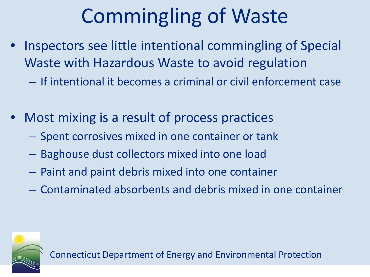# Commingling of Waste

- Inspectors see little intentional commingling of Special Waste with Hazardous Waste to avoid regulation
	- If intentional it becomes a criminal or civil enforcement case
- Most mixing is a result of process practices
	- Spent corrosives mixed in one container or tank
	- Baghouse dust collectors mixed into one load
	- Paint and paint debris mixed into one container
	- Contaminated absorbents and debris mixed in one container

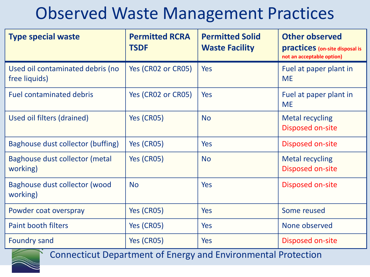### Observed Waste Management Practices

| <b>Type special waste</b>                         | <b>Permitted RCRA</b><br><b>TSDF</b> | <b>Permitted Solid</b><br><b>Waste Facility</b> | <b>Other observed</b><br><b>practices</b> (on-site disposal is<br>not an acceptable option) |
|---------------------------------------------------|--------------------------------------|-------------------------------------------------|---------------------------------------------------------------------------------------------|
| Used oil contaminated debris (no<br>free liquids) | Yes (CR02 or CR05)                   | <b>Yes</b>                                      | Fuel at paper plant in<br><b>ME</b>                                                         |
| <b>Fuel contaminated debris</b>                   | Yes (CR02 or CR05)                   | <b>Yes</b>                                      | Fuel at paper plant in<br><b>ME</b>                                                         |
| Used oil filters (drained)                        | Yes (CR05)                           | <b>No</b>                                       | <b>Metal recycling</b><br>Disposed on-site                                                  |
| Baghouse dust collector (buffing)                 | Yes (CR05)                           | <b>Yes</b>                                      | Disposed on-site                                                                            |
| Baghouse dust collector (metal<br>working)        | Yes (CR05)                           | <b>No</b>                                       | <b>Metal recycling</b><br>Disposed on-site                                                  |
| Baghouse dust collector (wood<br>working)         | <b>No</b>                            | <b>Yes</b>                                      | Disposed on-site                                                                            |
| Powder coat overspray                             | Yes (CR05)                           | Yes                                             | Some reused                                                                                 |
| <b>Paint booth filters</b>                        | Yes (CR05)                           | <b>Yes</b>                                      | None observed                                                                               |
| <b>Foundry sand</b>                               | Yes (CR05)                           | <b>Yes</b>                                      | Disposed on-site                                                                            |

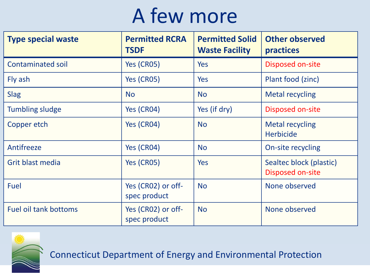### A few more

| <b>Type special waste</b>    | <b>Permitted RCRA</b><br><b>TSDF</b> | <b>Permitted Solid</b><br><b>Waste Facility</b> | <b>Other observed</b><br>practices          |
|------------------------------|--------------------------------------|-------------------------------------------------|---------------------------------------------|
| <b>Contaminated soil</b>     | Yes (CR05)                           | <b>Yes</b>                                      | Disposed on-site                            |
| Fly ash                      | Yes (CR05)                           | Yes                                             | Plant food (zinc)                           |
| <b>Slag</b>                  | <b>No</b>                            | <b>No</b>                                       | <b>Metal recycling</b>                      |
| <b>Tumbling sludge</b>       | Yes (CR04)                           | Yes (if dry)                                    | Disposed on-site                            |
| Copper etch                  | Yes (CR04)                           | <b>No</b>                                       | <b>Metal recycling</b><br><b>Herbicide</b>  |
| Antifreeze                   | Yes (CR04)                           | <b>No</b>                                       | On-site recycling                           |
| Grit blast media             | Yes (CR05)                           | <b>Yes</b>                                      | Sealtec block (plastic)<br>Disposed on-site |
| Fuel                         | Yes (CR02) or off-<br>spec product   | <b>No</b>                                       | None observed                               |
| <b>Fuel oil tank bottoms</b> | Yes (CR02) or off-<br>spec product   | <b>No</b>                                       | None observed                               |